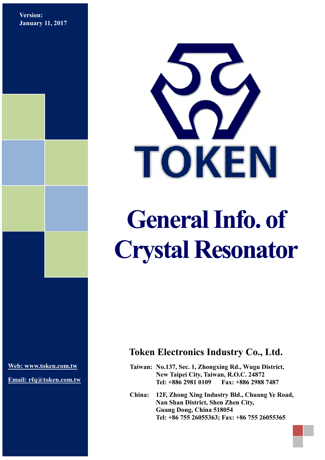**Version: January 11, 2017**



## **General Info. of Crystal Resonator**

**[Web: www.token.com.tw](http://www.token.com.tw/)**

**Email: rfq@token.com.tw**

## **Token Electronics Industry Co., Ltd.**

**Taiwan: No.137, Sec. 1, Zhongxing Rd., Wugu District, New Taipei City, Taiwan, R.O.C. 24872 Tel: +886 2981 0109 Fax: +886 2988 7487**

**China: 12F, Zhong Xing Industry Bld., Chuang Ye Road, Nan Shan District, Shen Zhen City, Guang Dong, China 518054 Tel: +86 755 26055363; Fax: +86 755 26055365**